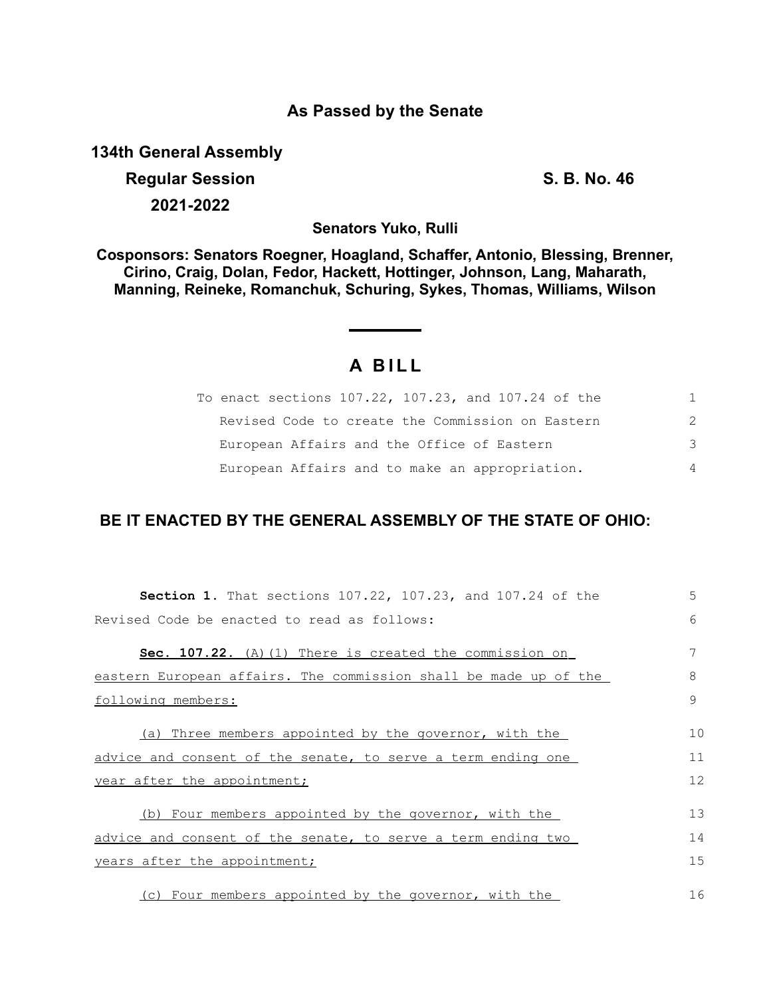#### **As Passed by the Senate**

**134th General Assembly**

# **Regular Session S. B. No. 46 2021-2022**

**Senators Yuko, Rulli**

**Cosponsors: Senators Roegner, Hoagland, Schaffer, Antonio, Blessing, Brenner, Cirino, Craig, Dolan, Fedor, Hackett, Hottinger, Johnson, Lang, Maharath, Manning, Reineke, Romanchuk, Schuring, Sykes, Thomas, Williams, Wilson**

## **A B I L L**

| To enact sections 107.22, 107.23, and 107.24 of the | 1.            |
|-----------------------------------------------------|---------------|
| Revised Code to create the Commission on Eastern    | $\mathcal{P}$ |
| European Affairs and the Office of Eastern          | 3             |
| European Affairs and to make an appropriation.      | 4             |

### **BE IT ENACTED BY THE GENERAL ASSEMBLY OF THE STATE OF OHIO:**

| Section 1. That sections 107.22, 107.23, and 107.24 of the       | 5  |  |  |  |
|------------------------------------------------------------------|----|--|--|--|
| Revised Code be enacted to read as follows:                      |    |  |  |  |
| Sec. 107.22. (A) (1) There is created the commission on          | 7  |  |  |  |
| eastern European affairs. The commission shall be made up of the | 8  |  |  |  |
| following members:                                               | 9  |  |  |  |
| (a) Three members appointed by the governor, with the            | 10 |  |  |  |
| advice and consent of the senate, to serve a term ending one     | 11 |  |  |  |
| year after the appointment;                                      |    |  |  |  |
| (b) Four members appointed by the governor, with the             | 13 |  |  |  |
| advice and consent of the senate, to serve a term ending two     | 14 |  |  |  |
| years after the appointment;                                     | 15 |  |  |  |
| (c) Four members appointed by the governor, with the             | 16 |  |  |  |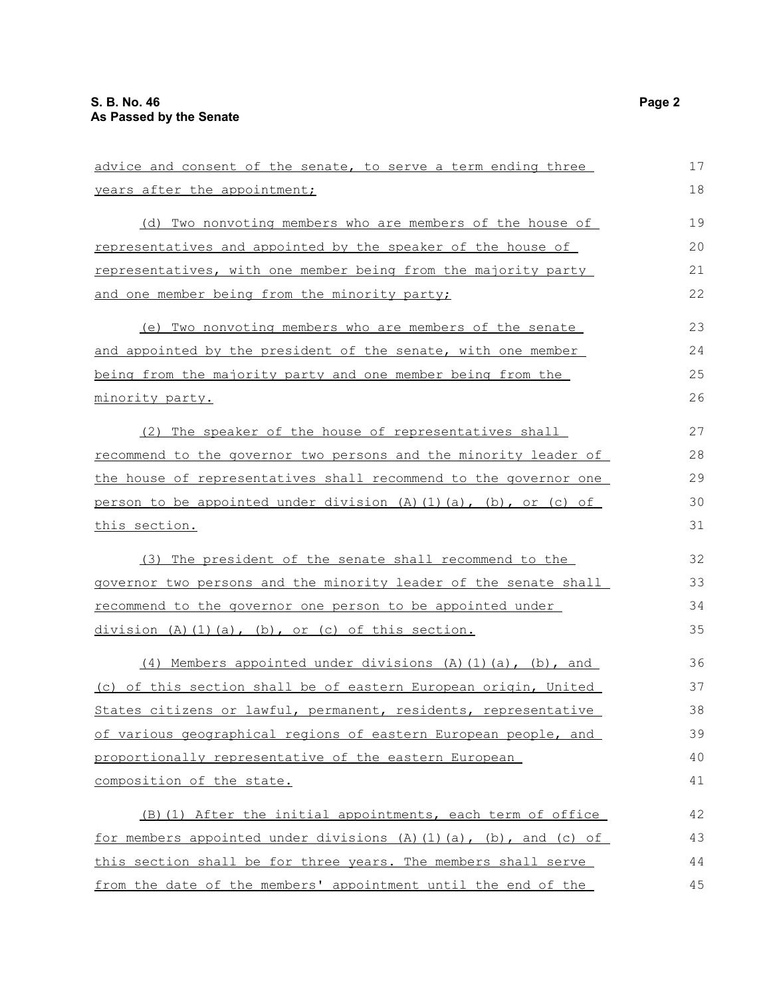| advice and consent of the senate, to serve a term ending three     | 17 |
|--------------------------------------------------------------------|----|
| years after the appointment;                                       | 18 |
| (d) Two nonvoting members who are members of the house of          | 19 |
| representatives and appointed by the speaker of the house of       | 20 |
| representatives, with one member being from the majority party     | 21 |
| and one member being from the minority party;                      | 22 |
| (e) Two nonvoting members who are members of the senate            | 23 |
| and appointed by the president of the senate, with one member      | 24 |
| being from the majority party and one member being from the        | 25 |
| minority party.                                                    | 26 |
| (2) The speaker of the house of representatives shall              | 27 |
| recommend to the governor two persons and the minority leader of   | 28 |
| the house of representatives shall recommend to the governor one   | 29 |
| person to be appointed under division (A)(1)(a), (b), or (c) of    | 30 |
| this section.                                                      | 31 |
| (3) The president of the senate shall recommend to the             | 32 |
| governor two persons and the minority leader of the senate shall   | 33 |
| recommend to the governor one person to be appointed under         | 34 |
| division (A)(1)(a), (b), or (c) of this section.                   | 35 |
| (4) Members appointed under divisions (A) (1) (a), (b), and        | 36 |
| (c) of this section shall be of eastern European origin, United    | 37 |
| States citizens or lawful, permanent, residents, representative    | 38 |
| of various geographical regions of eastern European people, and    | 39 |
| proportionally representative of the eastern European              | 40 |
| composition of the state.                                          | 41 |
| (B) (1) After the initial appointments, each term of office        | 42 |
| for members appointed under divisions (A) (1) (a), (b), and (c) of | 43 |
| this section shall be for three years. The members shall serve     | 44 |
| from the date of the members' appointment until the end of the     | 45 |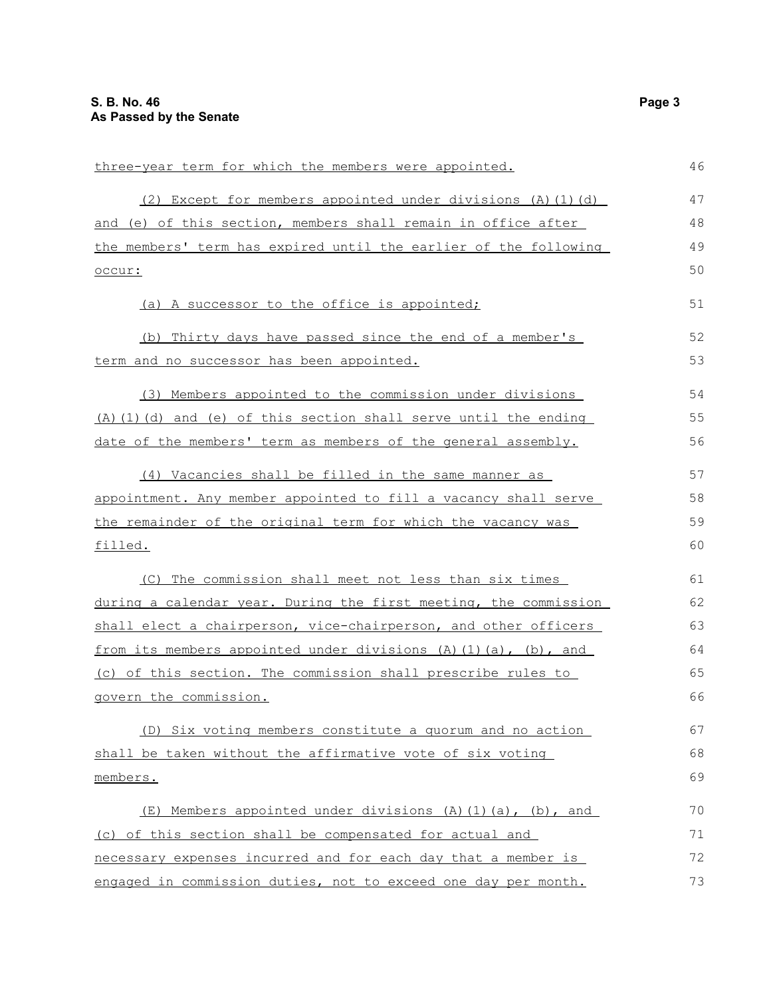| three-year term for which the members were appointed.              |    |  |
|--------------------------------------------------------------------|----|--|
| (2) Except for members appointed under divisions (A) (1) (d)       | 47 |  |
| and (e) of this section, members shall remain in office after      | 48 |  |
| the members' term has expired until the earlier of the following   | 49 |  |
| occur:                                                             | 50 |  |
| (a) A successor to the office is appointed;                        | 51 |  |
| (b) Thirty days have passed since the end of a member's            | 52 |  |
| term and no successor has been appointed.                          | 53 |  |
| (3) Members appointed to the commission under divisions            | 54 |  |
| $(A)$ (1) (d) and (e) of this section shall serve until the ending | 55 |  |
| date of the members' term as members of the general assembly.      | 56 |  |
| (4) Vacancies shall be filled in the same manner as                | 57 |  |
| appointment. Any member appointed to fill a vacancy shall serve    | 58 |  |
| the remainder of the original term for which the vacancy was       | 59 |  |
| <u>filled.</u>                                                     | 60 |  |
| (C) The commission shall meet not less than six times              | 61 |  |
| during a calendar year. During the first meeting, the commission   | 62 |  |
| shall elect a chairperson, vice-chairperson, and other officers    | 63 |  |
| from its members appointed under divisions (A) (1) (a), (b), and   | 64 |  |
| (c) of this section. The commission shall prescribe rules to       | 65 |  |
| govern the commission.                                             | 66 |  |
| (D) Six voting members constitute a quorum and no action           | 67 |  |
| shall be taken without the affirmative vote of six voting          | 68 |  |
| members.                                                           | 69 |  |
| (E) Members appointed under divisions (A) (1) (a), (b), and        | 70 |  |
| (c) of this section shall be compensated for actual and            | 71 |  |
| necessary expenses incurred and for each day that a member is      | 72 |  |
| engaged in commission duties, not to exceed one day per month.     | 73 |  |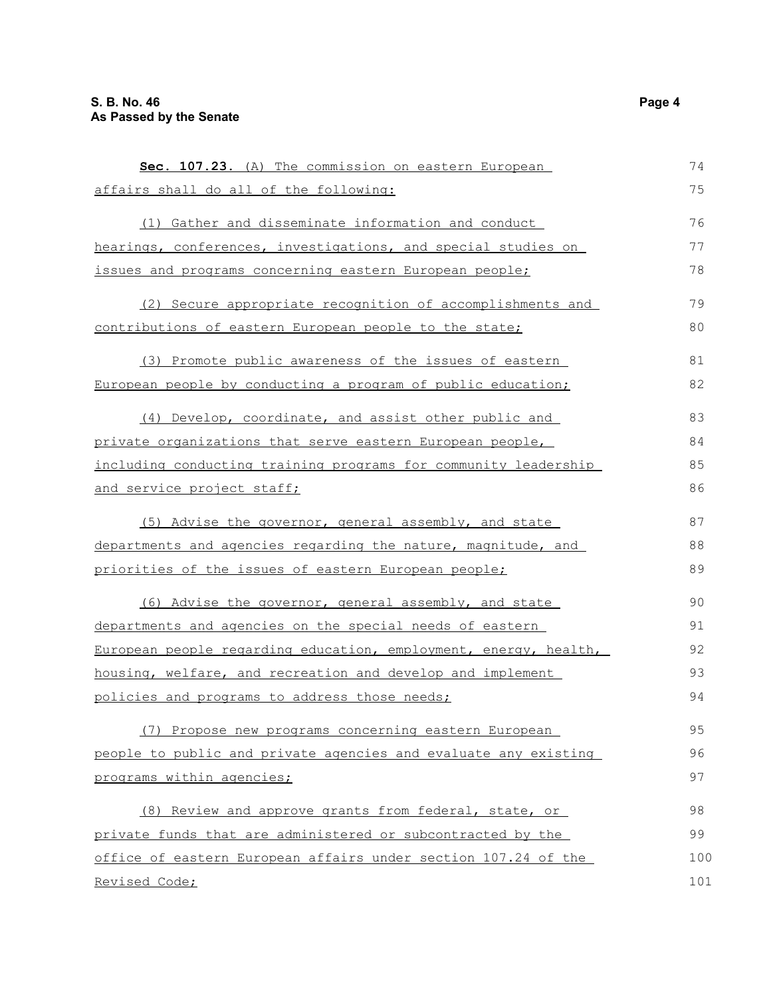**Sec. 107.23.** (A) The commission on eastern European affairs shall do all of the following: (1) Gather and disseminate information and conduct hearings, conferences, investigations, and special studies on issues and programs concerning eastern European people; (2) Secure appropriate recognition of accomplishments and contributions of eastern European people to the state; (3) Promote public awareness of the issues of eastern European people by conducting a program of public education; (4) Develop, coordinate, and assist other public and private organizations that serve eastern European people, including conducting training programs for community leadership and service project staff; (5) Advise the governor, general assembly, and state departments and agencies regarding the nature, magnitude, and priorities of the issues of eastern European people; (6) Advise the governor, general assembly, and state departments and agencies on the special needs of eastern European people regarding education, employment, energy, health, housing, welfare, and recreation and develop and implement policies and programs to address those needs; (7) Propose new programs concerning eastern European people to public and private agencies and evaluate any existing programs within agencies; (8) Review and approve grants from federal, state, or private funds that are administered or subcontracted by the office of eastern European affairs under section 107.24 of the Revised Code; 74 75 76 77 78 79 80 81 82 83 84 85 86 87 88 89  $90$ 91 92 93 94 95 96 97 98 99 100 101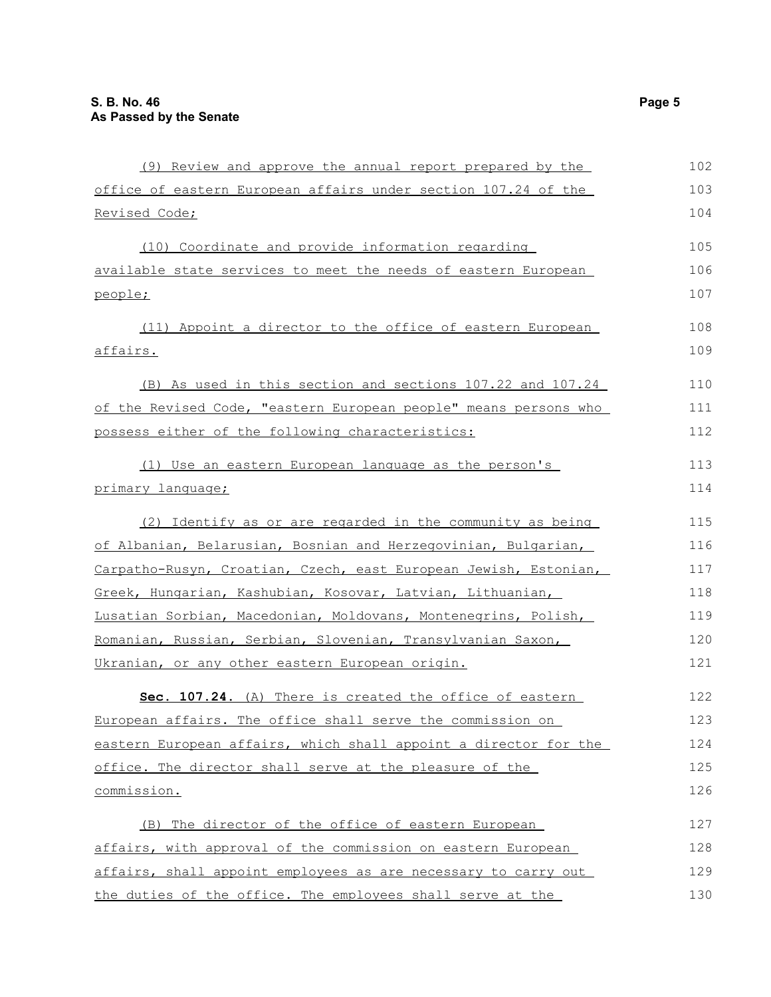| (9) Review and approve the annual report prepared by the         | 102 |
|------------------------------------------------------------------|-----|
| office of eastern European affairs under section 107.24 of the   | 103 |
| Revised Code;                                                    | 104 |
| (10) Coordinate and provide information regarding                | 105 |
| available state services to meet the needs of eastern European   | 106 |
| people;                                                          | 107 |
| (11) Appoint a director to the office of eastern European        | 108 |
| <u>affairs.</u>                                                  | 109 |
| (B) As used in this section and sections 107.22 and 107.24       | 110 |
| of the Revised Code, "eastern European people" means persons who | 111 |
| possess either of the following characteristics:                 | 112 |
| (1) Use an eastern European language as the person's             | 113 |
| primary language;                                                | 114 |
| (2) Identify as or are regarded in the community as being        | 115 |
| of Albanian, Belarusian, Bosnian and Herzegovinian, Bulgarian,   | 116 |
| Carpatho-Rusyn, Croatian, Czech, east European Jewish, Estonian, | 117 |
| Greek, Hungarian, Kashubian, Kosovar, Latvian, Lithuanian,       | 118 |
| Lusatian Sorbian, Macedonian, Moldovans, Montenegrins, Polish,   | 119 |
| Romanian, Russian, Serbian, Slovenian, Transylvanian Saxon,      | 120 |
| Ukranian, or any other eastern European origin.                  | 121 |
| Sec. 107.24. (A) There is created the office of eastern          | 122 |
| European affairs. The office shall serve the commission on       | 123 |
| eastern European affairs, which shall appoint a director for the | 124 |
| office. The director shall serve at the pleasure of the          | 125 |
| commission.                                                      | 126 |
| (B) The director of the office of eastern European               | 127 |
| affairs, with approval of the commission on eastern European     | 128 |
| affairs, shall appoint employees as are necessary to carry out   | 129 |
| the duties of the office. The employees shall serve at the       | 130 |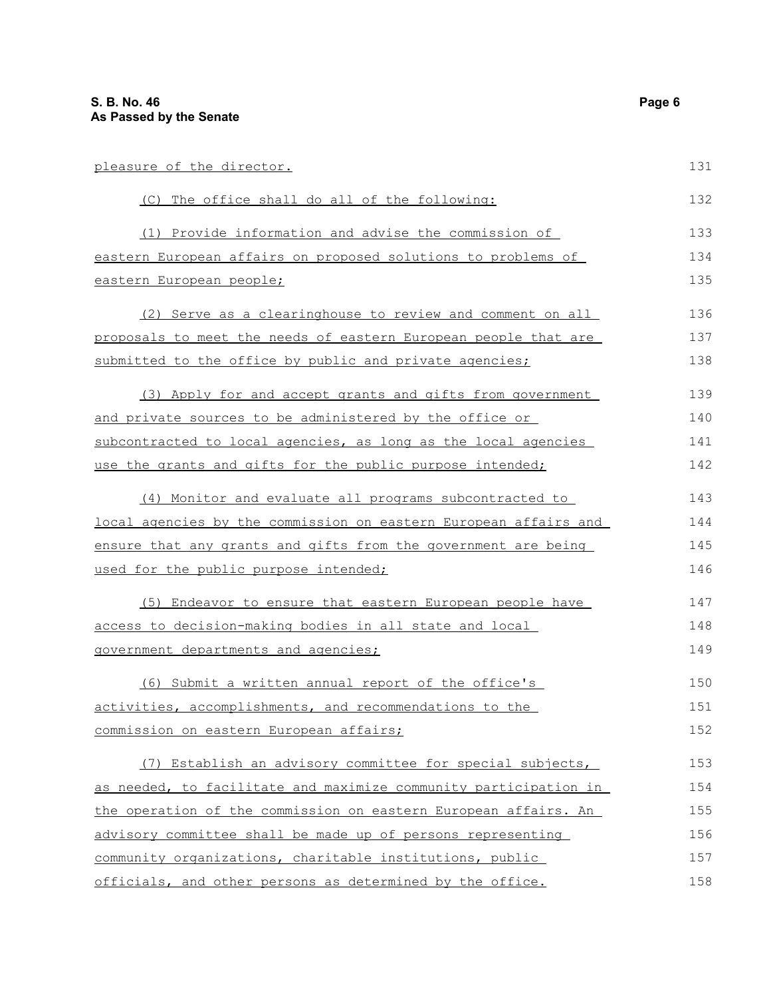| pleasure of the director.                                                | 131 |  |
|--------------------------------------------------------------------------|-----|--|
| (C) The office shall do all of the following:                            | 132 |  |
| (1) Provide information and advise the commission of                     | 133 |  |
| eastern European affairs on proposed solutions to problems of            | 134 |  |
| eastern European people;                                                 | 135 |  |
| (2) Serve as a clearinghouse to review and comment on all                | 136 |  |
| proposals to meet the needs of eastern European people that are          | 137 |  |
| submitted to the office by public and private agencies;                  | 138 |  |
| (3) Apply for and accept grants and gifts from government                | 139 |  |
| <u>and private sources to be administered by the office or </u>          | 140 |  |
| subcontracted to local agencies, as long as the local agencies           | 141 |  |
| use the grants and gifts for the public purpose intended;                | 142 |  |
| (4) Monitor and evaluate all programs subcontracted to                   | 143 |  |
| <u>local agencies by the commission on eastern European affairs and </u> | 144 |  |
| ensure that any grants and gifts from the government are being           | 145 |  |
| used for the public purpose intended;                                    | 146 |  |
| (5) Endeavor to ensure that eastern European people have                 | 147 |  |
| access to decision-making bodies in all state and local                  |     |  |
| <u>government departments and agencies;</u>                              | 149 |  |
| (6) Submit a written annual report of the office's                       | 150 |  |
| activities, accomplishments, and recommendations to the                  | 151 |  |
| commission on eastern European affairs;                                  | 152 |  |
| (7) Establish an advisory committee for special subjects,                | 153 |  |
| as needed, to facilitate and maximize community participation in         | 154 |  |
| the operation of the commission on eastern European affairs. An          | 155 |  |
| advisory committee shall be made up of persons representing              | 156 |  |
| community organizations, charitable institutions, public                 | 157 |  |
| officials, and other persons as determined by the office.                | 158 |  |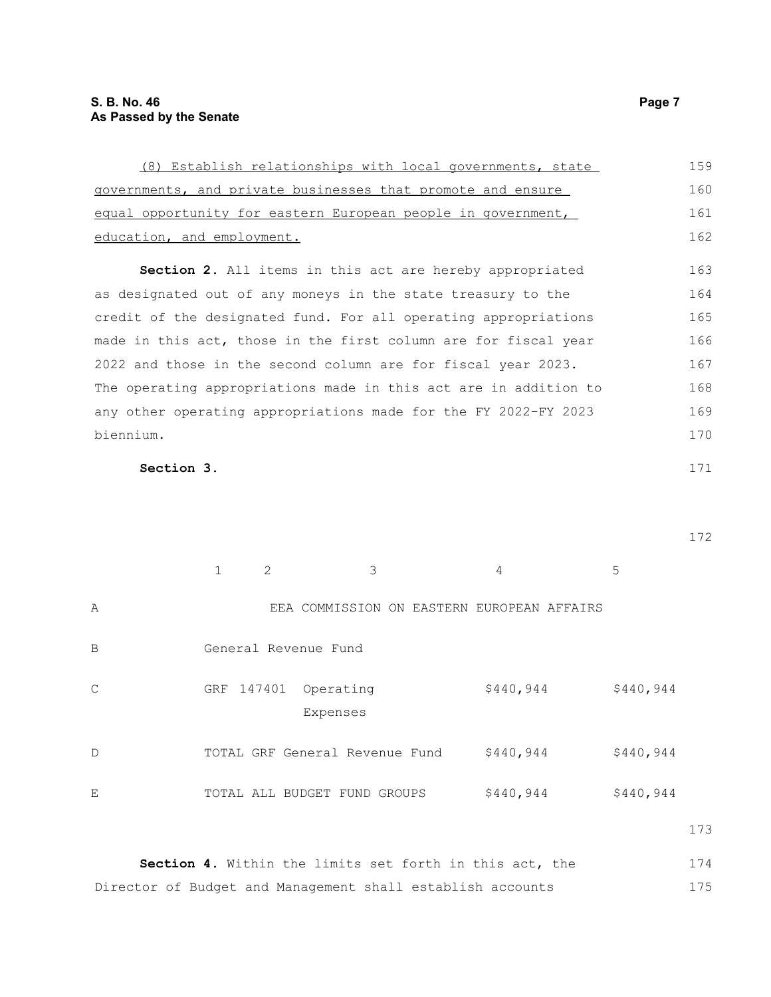| (8) Establish relationships with local governments, state        | 159 |
|------------------------------------------------------------------|-----|
| governments, and private businesses that promote and ensure      | 160 |
| equal opportunity for eastern European people in government,     | 161 |
| education, and employment.                                       | 162 |
| <b>Section 2.</b> All items in this act are hereby appropriated  | 163 |
| as designated out of any moneys in the state treasury to the     | 164 |
| credit of the designated fund. For all operating appropriations  | 165 |
| made in this act, those in the first column are for fiscal year  | 166 |
| 2022 and those in the second column are for fiscal year 2023.    | 167 |
| The operating appropriations made in this act are in addition to | 168 |
| any other operating appropriations made for the FY 2022-FY 2023  | 169 |
| biennium.                                                        | 170 |
| Section 3.                                                       | 171 |

172

|              |            | $\mathcal{L}$ | 3                                          |  | 4         | 5         |  |
|--------------|------------|---------------|--------------------------------------------|--|-----------|-----------|--|
| Α            |            |               | EEA COMMISSION ON EASTERN EUROPEAN AFFAIRS |  |           |           |  |
| B            |            |               | General Revenue Fund                       |  |           |           |  |
| $\mathsf{C}$ | GRF 147401 |               | Operating<br>Expenses                      |  | \$440,944 | \$440,944 |  |
| $\mathbb D$  |            |               | TOTAL GRF General Revenue Fund             |  | \$440,944 | \$440,944 |  |
| E            |            |               | TOTAL ALL BUDGET FUND GROUPS               |  | \$440,944 | \$440,944 |  |

173

**Section 4.** Within the limits set forth in this act, the Director of Budget and Management shall establish accounts 174 175